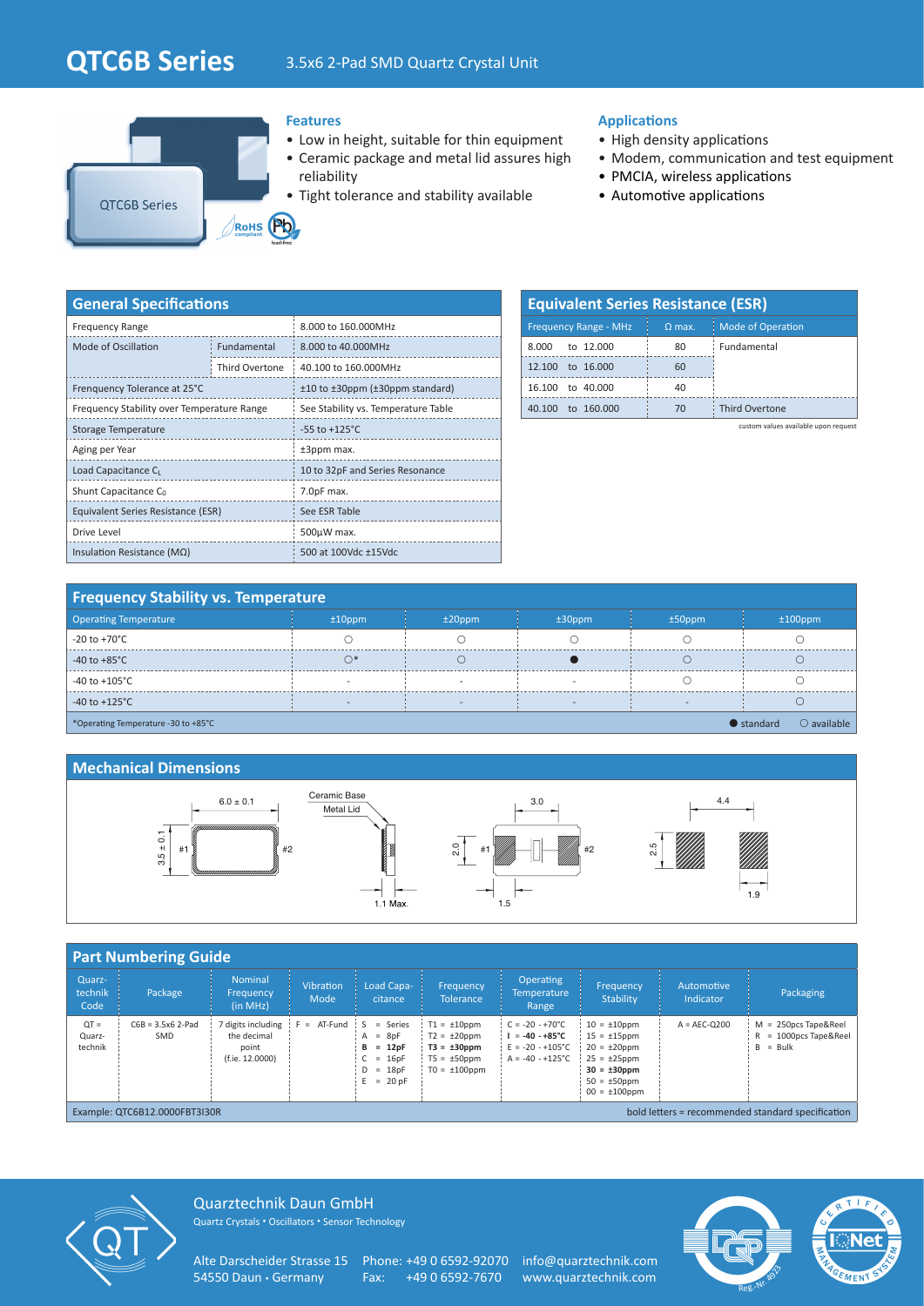# **QTC6B Series** 3.5x6 2-Pad SMD Quartz Crystal Unit



### **Features**

- Low in height, suitable for thin equipment
- Ceramic package and metal lid assures high reliability
- Tight tolerance and stability available

## **Applications**

- High density applications
- Modem, communication and test equipment
- PMCIA, wireless applications
- Automotive applications

| <b>General Specifications</b>              |                    |                                     |  |  |  |  |  |
|--------------------------------------------|--------------------|-------------------------------------|--|--|--|--|--|
| <b>Frequency Range</b>                     |                    | 8,000 to 160,000MHz                 |  |  |  |  |  |
| Mode of Oscillation                        | <b>Fundamental</b> | 8.000 to 40.000MHz                  |  |  |  |  |  |
|                                            | Third Overtone     | 40.100 to 160.000MHz                |  |  |  |  |  |
| Frenquency Tolerance at 25°C               |                    | ±10 to ±30ppm (±30ppm standard)     |  |  |  |  |  |
| Frequency Stability over Temperature Range |                    | See Stability vs. Temperature Table |  |  |  |  |  |
| <b>Storage Temperature</b>                 |                    | $-55$ to $+125^{\circ}$ C           |  |  |  |  |  |
| Aging per Year                             |                    | ±3ppm max.                          |  |  |  |  |  |
| Load Capacitance C                         |                    | 10 to 32pF and Series Resonance     |  |  |  |  |  |
| Shunt Capacitance C <sub>0</sub>           |                    | 7.0pF max.                          |  |  |  |  |  |
| Equivalent Series Resistance (ESR)         |                    | See ESR Table                       |  |  |  |  |  |
| Drive Level                                |                    | $500\mu W$ max.                     |  |  |  |  |  |
| Insulation Resistance ( $M\Omega$ )        |                    | 500 at 100Vdc ±15Vdc                |  |  |  |  |  |

| <b>Equivalent Series Resistance (ESR)</b> |          |                          |  |  |  |  |  |
|-------------------------------------------|----------|--------------------------|--|--|--|--|--|
| <b>Frequency Range - MHz</b>              | $Q$ max. | <b>Mode of Operation</b> |  |  |  |  |  |
| to 12,000<br>8.000                        | 80       | Fundamental              |  |  |  |  |  |
| to 16,000<br>12 100                       | 60       |                          |  |  |  |  |  |
| to 40,000<br>16.100                       | 40       |                          |  |  |  |  |  |
| to 160,000                                | 70       | <b>Third Overtone</b>    |  |  |  |  |  |

custom values available upon request

## **Frequency Stability vs. Temperature**

| <b>Operating Temperature</b>                                                      | $±10$ ppm                | $±20$ ppm | $±30$ ppm | $±50$ ppm | $±100$ ppm |  |
|-----------------------------------------------------------------------------------|--------------------------|-----------|-----------|-----------|------------|--|
| -20 to +70 $^{\circ}$ C                                                           |                          |           |           |           |            |  |
| $-40$ to $+85^{\circ}$ C                                                          |                          |           |           |           |            |  |
| -40 to +105 $^{\circ}$ C                                                          |                          |           |           |           |            |  |
| -40 to +125 $^{\circ}$ C                                                          | $\overline{\phantom{a}}$ |           |           |           |            |  |
| $\bigcirc$ available<br>$\bullet$ standard<br>*Operating Temperature -30 to +85°C |                          |           |           |           |            |  |

#### **Mechanical Dimensions**



| <b>Part Numbering Guide</b>                                                        |                            |                                                               |                          |                                                                                 |                                                                                                     |                                                                                                          |                                                                                                                                                  |                         |                                                                    |
|------------------------------------------------------------------------------------|----------------------------|---------------------------------------------------------------|--------------------------|---------------------------------------------------------------------------------|-----------------------------------------------------------------------------------------------------|----------------------------------------------------------------------------------------------------------|--------------------------------------------------------------------------------------------------------------------------------------------------|-------------------------|--------------------------------------------------------------------|
| Quarz-<br>technik<br>Code                                                          | Package                    | <b>Nominal</b><br>Frequency<br>(in MHz)                       | <b>Vibration</b><br>Mode | Load Capa-<br>citance                                                           | <b>Frequency</b><br><b>Tolerance</b>                                                                | <b>Operating</b><br><b>Temperature</b><br>Range                                                          | Frequency<br>Stability                                                                                                                           | Automotive<br>Indicator | Packaging                                                          |
| $QT =$<br>Quarz-<br>technik                                                        | $C6B = 3.5x6$ 2-Pad<br>SMD | 7 digits including<br>the decimal<br>point<br>(f.ie. 12.0000) | $F = AT-Fund$ S          | $=$ Series<br>$A = 8pF$<br>$= 12pF$<br>в<br>$= 16pF$<br>$D = 18pF$<br>$= 20$ pF | $T1 = \pm 10$ ppm<br>$T2 = \pm 20$ ppm<br>$T3 = \pm 30$ ppm<br>$T5 = \pm 50$ ppm<br>$TO = ±100$ ppm | $C = -20 - +70^{\circ}C$<br>$I = -40 - +85^{\circ}C$<br>$E = -20 - +105^{\circ}C$<br>$A = -40 - +125$ °C | $10 = \pm 10$ ppm<br>$15 = \pm 15$ ppm<br>$20 = \pm 20$ ppm<br>$25 = \pm 25$ ppm<br>$30 = \pm 30$ ppm<br>$50 = \pm 50$ ppm<br>$00 = \pm 100$ ppm | $A = AEC-O200$          | $M = 250DCS$ Tape&Reel<br>$R = 1000$ pcs Tape & Reel<br>$B = Bulk$ |
| bold letters = recommended standard specification<br>Example: QTC6B12.0000FBT3I30R |                            |                                                               |                          |                                                                                 |                                                                                                     |                                                                                                          |                                                                                                                                                  |                         |                                                                    |



Quarztechnik Daun GmbH Quartz Crystals • Oscillators • Sensor Technology

Alte Darscheider Strasse 15 Phone: +49 0 6592-92070 info@quarztechnik.com<br>54550 Daun • Germany Fax: +49 0 6592-7670 www.quarztechnik.com

Fax: +49 0 6592-7670 www.quarztechnik.com